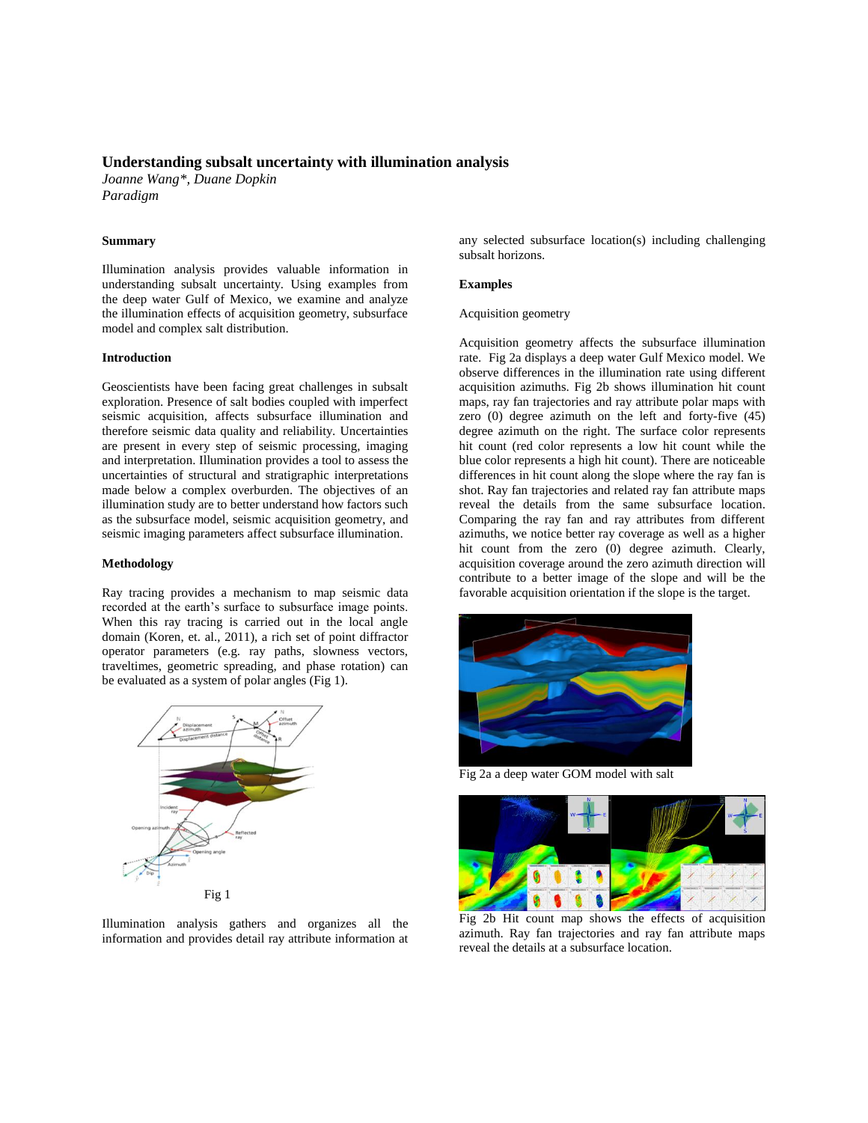# **Understanding subsalt uncertainty with illumination analysis**

*Joanne Wang\*, Duane Dopkin Paradigm*

# **Summary**

Illumination analysis provides valuable information in understanding subsalt uncertainty. Using examples from the deep water Gulf of Mexico, we examine and analyze the illumination effects of acquisition geometry, subsurface model and complex salt distribution.

#### **Introduction**

Geoscientists have been facing great challenges in subsalt exploration. Presence of salt bodies coupled with imperfect seismic acquisition, affects subsurface illumination and therefore seismic data quality and reliability. Uncertainties are present in every step of seismic processing, imaging and interpretation. Illumination provides a tool to assess the uncertainties of structural and stratigraphic interpretations made below a complex overburden. The objectives of an illumination study are to better understand how factors such as the subsurface model, seismic acquisition geometry, and seismic imaging parameters affect subsurface illumination.

### **Methodology**

Ray tracing provides a mechanism to map seismic data recorded at the earth's surface to subsurface image points. When this ray tracing is carried out in the local angle domain (Koren, et. al., 2011), a rich set of point diffractor operator parameters (e.g. ray paths, slowness vectors, traveltimes, geometric spreading, and phase rotation) can be evaluated as a system of polar angles (Fig 1).



Illumination analysis gathers and organizes all the information and provides detail ray attribute information at

any selected subsurface location(s) including challenging subsalt horizons.

### **Examples**

Acquisition geometry

Acquisition geometry affects the subsurface illumination rate. Fig 2a displays a deep water Gulf Mexico model. We observe differences in the illumination rate using different acquisition azimuths. Fig 2b shows illumination hit count maps, ray fan trajectories and ray attribute polar maps with zero (0) degree azimuth on the left and forty-five (45) degree azimuth on the right. The surface color represents hit count (red color represents a low hit count while the blue color represents a high hit count). There are noticeable differences in hit count along the slope where the ray fan is shot. Ray fan trajectories and related ray fan attribute maps reveal the details from the same subsurface location. Comparing the ray fan and ray attributes from different azimuths, we notice better ray coverage as well as a higher hit count from the zero (0) degree azimuth. Clearly, acquisition coverage around the zero azimuth direction will contribute to a better image of the slope and will be the favorable acquisition orientation if the slope is the target.



Fig 2a a deep water GOM model with salt



Fig 2b Hit count map shows the effects of acquisition azimuth. Ray fan trajectories and ray fan attribute maps reveal the details at a subsurface location.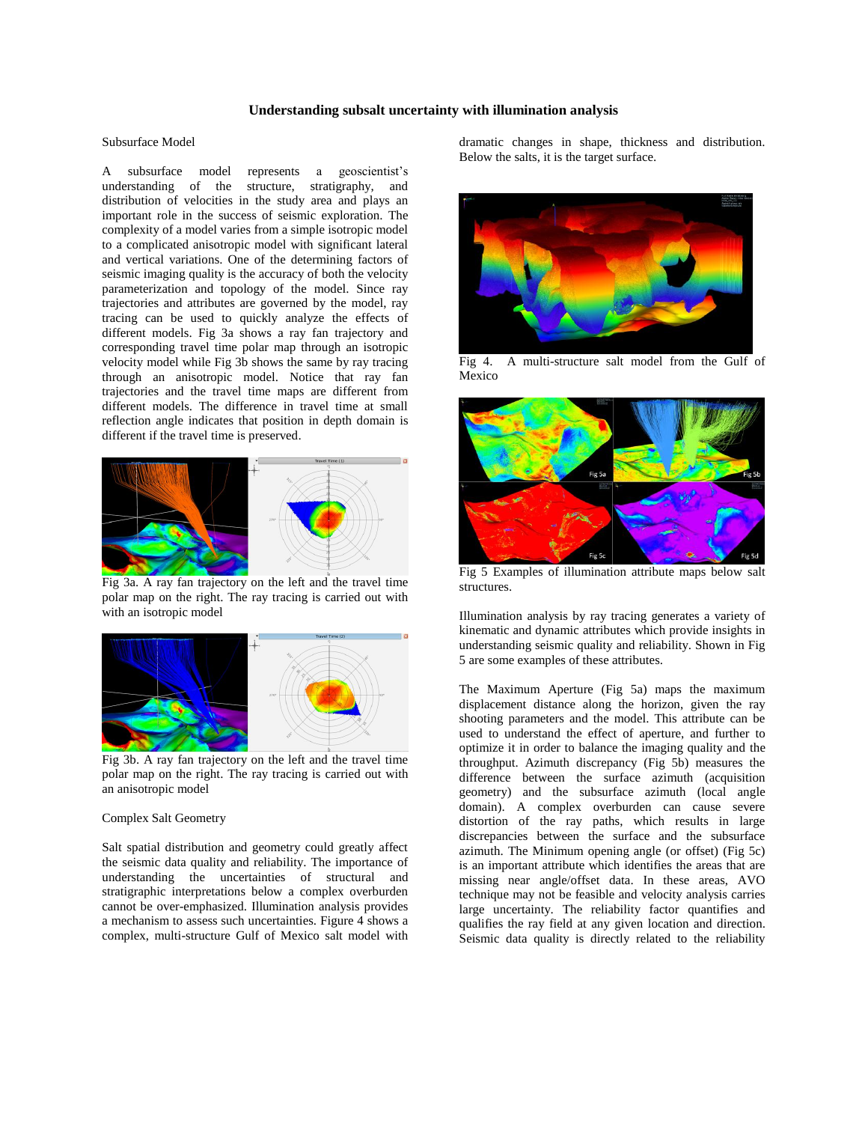### **Understanding subsalt uncertainty with illumination analysis**

### Subsurface Model

A subsurface model represents a geoscientist's understanding of the structure, stratigraphy, and distribution of velocities in the study area and plays an important role in the success of seismic exploration. The complexity of a model varies from a simple isotropic model to a complicated anisotropic model with significant lateral and vertical variations. One of the determining factors of seismic imaging quality is the accuracy of both the velocity parameterization and topology of the model. Since ray trajectories and attributes are governed by the model, ray tracing can be used to quickly analyze the effects of different models. Fig 3a shows a ray fan trajectory and corresponding travel time polar map through an isotropic velocity model while Fig 3b shows the same by ray tracing through an anisotropic model. Notice that ray fan trajectories and the travel time maps are different from different models. The difference in travel time at small reflection angle indicates that position in depth domain is different if the travel time is preserved.



Fig 3a. A ray fan trajectory on the left and the travel time polar map on the right. The ray tracing is carried out with with an isotropic model



Fig 3b. A ray fan trajectory on the left and the travel time polar map on the right. The ray tracing is carried out with an anisotropic model

# Complex Salt Geometry

Salt spatial distribution and geometry could greatly affect the seismic data quality and reliability. The importance of understanding the uncertainties of structural and stratigraphic interpretations below a complex overburden cannot be over-emphasized. Illumination analysis provides a mechanism to assess such uncertainties. Figure 4 shows a complex, multi-structure Gulf of Mexico salt model with

dramatic changes in shape, thickness and distribution. Below the salts, it is the target surface.



Fig 4. A multi-structure salt model from the Gulf of Mexico



Fig 5 Examples of illumination attribute maps below salt structures.

Illumination analysis by ray tracing generates a variety of kinematic and dynamic attributes which provide insights in understanding seismic quality and reliability. Shown in Fig 5 are some examples of these attributes.

The Maximum Aperture (Fig 5a) maps the maximum displacement distance along the horizon, given the ray shooting parameters and the model. This attribute can be used to understand the effect of aperture, and further to optimize it in order to balance the imaging quality and the throughput. Azimuth discrepancy (Fig 5b) measures the difference between the surface azimuth (acquisition geometry) and the subsurface azimuth (local angle domain). A complex overburden can cause severe distortion of the ray paths, which results in large discrepancies between the surface and the subsurface azimuth. The Minimum opening angle (or offset) (Fig 5c) is an important attribute which identifies the areas that are missing near angle/offset data. In these areas, AVO technique may not be feasible and velocity analysis carries large uncertainty. The reliability factor quantifies and qualifies the ray field at any given location and direction. Seismic data quality is directly related to the reliability